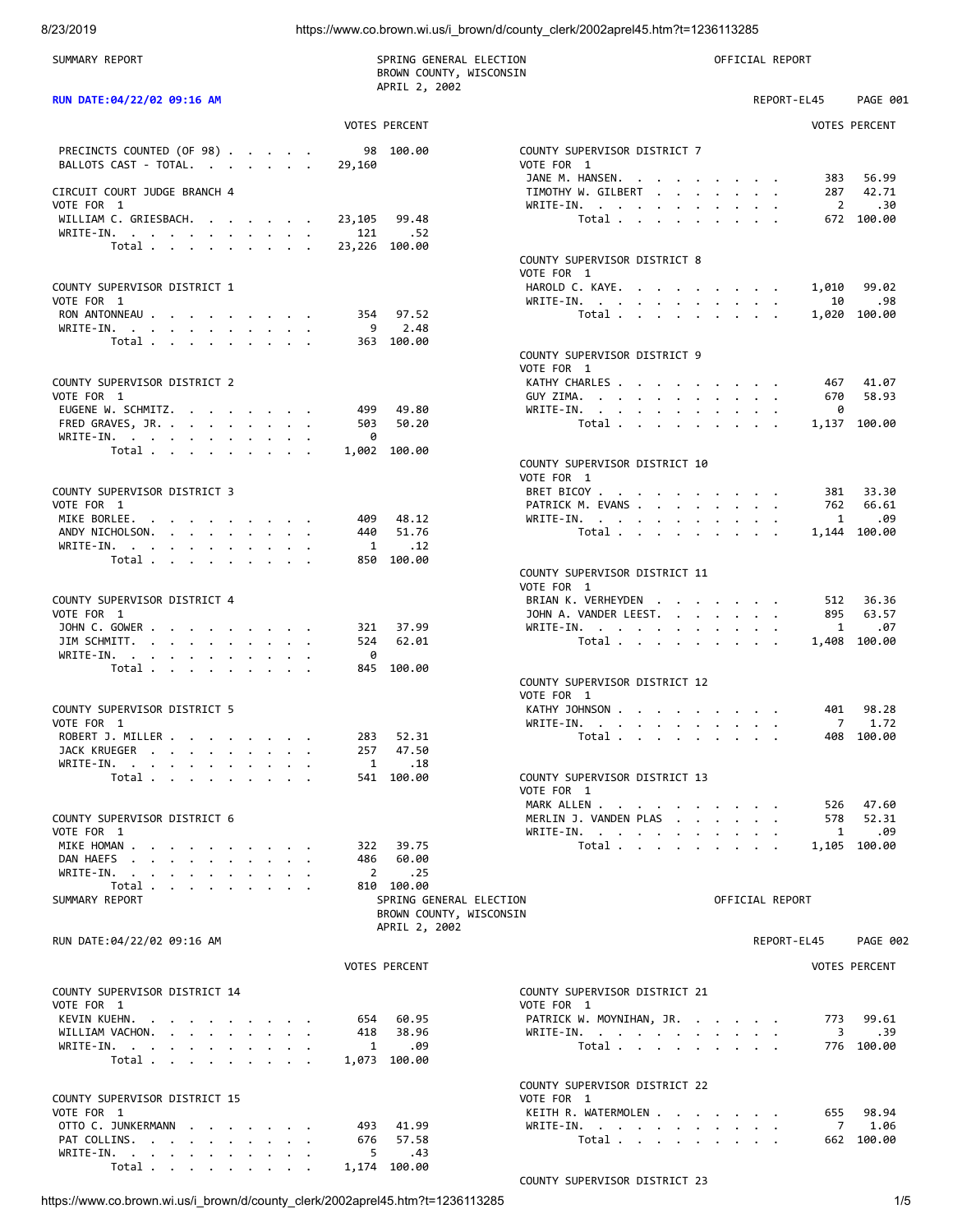8/23/2019 https://www.co.brown.wi.us/i\_brown/d/county\_clerk/2002aprel45.htm?t=1236113285

| SUMMARY REPORT                                                                                                                                          | SPRING GENERAL ELECTION<br>BROWN COUNTY, WISCONSIN<br>APRIL 2, 2002 |                                                  | OFFICIAL REPORT                      |  |
|---------------------------------------------------------------------------------------------------------------------------------------------------------|---------------------------------------------------------------------|--------------------------------------------------|--------------------------------------|--|
| RUN DATE: 04/22/02 09:16 AM                                                                                                                             |                                                                     |                                                  | REPORT-EL45<br><b>PAGE 001</b>       |  |
|                                                                                                                                                         | <b>VOTES PERCENT</b>                                                |                                                  | <b>VOTES PERCENT</b>                 |  |
| PRECINCTS COUNTED (OF 98)<br>BALLOTS CAST - TOTAL.                                                                                                      | 98 100.00<br>29,160                                                 | COUNTY SUPERVISOR DISTRICT 7<br>VOTE FOR 1       |                                      |  |
| CIRCUIT COURT JUDGE BRANCH 4                                                                                                                            |                                                                     | JANE M. HANSEN.<br>TIMOTHY W. GILBERT            | 56.99<br>383<br>42.71<br>287         |  |
| VOTE FOR 1<br>WILLIAM C. GRIESBACH.                                                                                                                     |                                                                     | WRITE-IN.                                        | .30<br>2<br>672 100.00               |  |
| WRITE-IN.                                                                                                                                               | 99.48<br>23,105<br>121<br>.52                                       | Total                                            |                                      |  |
| Total                                                                                                                                                   | 23,226 100.00                                                       | COUNTY SUPERVISOR DISTRICT 8                     |                                      |  |
|                                                                                                                                                         |                                                                     | VOTE FOR 1                                       |                                      |  |
| COUNTY SUPERVISOR DISTRICT 1<br>VOTE FOR 1                                                                                                              |                                                                     | HAROLD C. KAYE.<br>WRITE-IN.                     | 1,010<br>99.02<br>.98<br>10          |  |
| RON ANTONNEAU                                                                                                                                           | 354 97.52                                                           | Total                                            | 1,020 100.00                         |  |
| WRITE-IN.<br>Total $\cdots$ $\cdots$ $\cdots$                                                                                                           | 9<br>2.48<br>363 100.00                                             |                                                  |                                      |  |
|                                                                                                                                                         |                                                                     | COUNTY SUPERVISOR DISTRICT 9                     |                                      |  |
| COUNTY SUPERVISOR DISTRICT 2                                                                                                                            |                                                                     | VOTE FOR 1<br>KATHY CHARLES                      | 41.07<br>467                         |  |
| VOTE FOR 1                                                                                                                                              |                                                                     | GUY ZIMA.                                        | 58.93<br>670                         |  |
| EUGENE W. SCHMITZ.                                                                                                                                      | 49.80<br>499                                                        | WRITE-IN.                                        | 0                                    |  |
| FRED GRAVES, JR.<br>WRITE-IN.                                                                                                                           | 503<br>50.20<br>0                                                   | Total                                            | 1,137 100.00                         |  |
| Total $\cdots$ $\cdots$ $\cdots$                                                                                                                        | 1,002 100.00                                                        |                                                  |                                      |  |
|                                                                                                                                                         |                                                                     | COUNTY SUPERVISOR DISTRICT 10<br>VOTE FOR 1      |                                      |  |
| COUNTY SUPERVISOR DISTRICT 3                                                                                                                            |                                                                     | BRET BICOY                                       | 381<br>33.30                         |  |
| VOTE FOR 1                                                                                                                                              |                                                                     | PATRICK M. EVANS                                 | 66.61<br>762                         |  |
| MIKE BORLEE.<br>ANDY NICHOLSON.                                                                                                                         | 409<br>48.12<br>51.76<br>440                                        | WRITE-IN.<br>Total $\cdots$ $\cdots$ $\cdots$    | .09<br>1<br>1,144 100.00             |  |
| WRITE-IN.                                                                                                                                               | $\overline{1}$<br>.12                                               |                                                  |                                      |  |
| Total $\cdots$ $\cdots$ $\cdots$                                                                                                                        | 850 100.00                                                          |                                                  |                                      |  |
|                                                                                                                                                         |                                                                     | COUNTY SUPERVISOR DISTRICT 11<br>VOTE FOR 1      |                                      |  |
| COUNTY SUPERVISOR DISTRICT 4                                                                                                                            |                                                                     | BRIAN K. VERHEYDEN                               | 36.36<br>512                         |  |
| VOTE FOR 1                                                                                                                                              |                                                                     | JOHN A. VANDER LEEST.                            | 63.57<br>895                         |  |
| JOHN C. GOWER                                                                                                                                           | 321<br>37.99<br>62.01<br>524                                        | WRITE-IN.                                        | .07<br>1<br>1,408 100.00             |  |
| JIM SCHMITT.<br>WRITE-IN.                                                                                                                               | 0                                                                   | Total                                            |                                      |  |
| Total $\cdots$ $\cdots$ $\cdots$                                                                                                                        | 845 100.00                                                          |                                                  |                                      |  |
|                                                                                                                                                         |                                                                     | COUNTY SUPERVISOR DISTRICT 12<br>VOTE FOR 1      |                                      |  |
| COUNTY SUPERVISOR DISTRICT 5                                                                                                                            |                                                                     | KATHY JOHNSON                                    | 98.28<br>401                         |  |
| VOTE FOR 1                                                                                                                                              |                                                                     | WRITE-IN.<br>the contract of the contract of the | 1.72<br>7                            |  |
| ROBERT J. MILLER<br>JACK KRUEGER                                                                                                                        | 283<br>52.31<br>257<br>47.50                                        | Total                                            | 408 100.00                           |  |
| $WRITE-IN.$                                                                                                                                             | 1<br>.18                                                            |                                                  |                                      |  |
| Total $\cdots$ $\cdots$ $\cdots$                                                                                                                        | 541 100.00                                                          | COUNTY SUPERVISOR DISTRICT 13<br>VOTE FOR 1      |                                      |  |
|                                                                                                                                                         |                                                                     | MARK ALLEN                                       | 526 47.60                            |  |
| COUNTY SUPERVISOR DISTRICT 6<br>VOTE FOR 1                                                                                                              |                                                                     | MERLIN J. VANDEN PLAS<br>WRITE-IN.               | 52.31<br>$\cdots$<br>578<br>1<br>.09 |  |
| MIKE HOMAN                                                                                                                                              | 322<br>39.75                                                        | Total                                            | 1,105 100.00                         |  |
| DAN HAEFS                                                                                                                                               | 60.00<br>486                                                        |                                                  |                                      |  |
| WRITE-IN.<br>the contract of the contract of the contract of the contract of the contract of the contract of the contract of<br>Total $\cdots$ $\cdots$ | $\overline{2}$<br>.25<br>810 100.00                                 |                                                  |                                      |  |
| SUMMARY REPORT                                                                                                                                          | SPRING GENERAL ELECTION<br>BROWN COUNTY, WISCONSIN                  |                                                  | OFFICIAL REPORT                      |  |
| RUN DATE:04/22/02 09:16 AM                                                                                                                              | APRIL 2, 2002                                                       |                                                  | REPORT-EL45<br><b>PAGE 002</b>       |  |
|                                                                                                                                                         | <b>VOTES PERCENT</b>                                                |                                                  | <b>VOTES PERCENT</b>                 |  |
|                                                                                                                                                         |                                                                     |                                                  |                                      |  |
| COUNTY SUPERVISOR DISTRICT 14<br>VOTE FOR 1                                                                                                             |                                                                     | COUNTY SUPERVISOR DISTRICT 21<br>VOTE FOR 1      |                                      |  |
| KEVIN KUEHN.                                                                                                                                            | 654<br>60.95                                                        | PATRICK W. MOYNIHAN, JR.                         | 773<br>99.61                         |  |
| WILLIAM VACHON.<br>WRITE-IN.                                                                                                                            | 418<br>38.96<br>.09<br>1                                            | WRITE-IN.<br>Total                               | 3<br>.39<br>776 100.00               |  |
| Total                                                                                                                                                   | 1,073 100.00                                                        |                                                  |                                      |  |
|                                                                                                                                                         |                                                                     |                                                  |                                      |  |
| COUNTY SUPERVISOR DISTRICT 15                                                                                                                           |                                                                     | COUNTY SUPERVISOR DISTRICT 22<br>VOTE FOR 1      |                                      |  |
| VOTE FOR 1                                                                                                                                              |                                                                     | KEITH R. WATERMOLEN                              | 655<br>98.94                         |  |
| OTTO C. JUNKERMANN                                                                                                                                      | 41.99<br>493<br>57.58                                               | WRITE-IN.                                        | 7<br>1.06<br>662 100.00              |  |
| PAT COLLINS.<br>WRITE-IN.<br>the contract of the contract of the contract of the contract of the contract of the contract of the contract of            | 676<br>5<br>.43                                                     | Total                                            |                                      |  |
| Total                                                                                                                                                   | 1,174 100.00                                                        |                                                  |                                      |  |
|                                                                                                                                                         |                                                                     | COUNTY SUPERVISOR DISTRICT 23                    |                                      |  |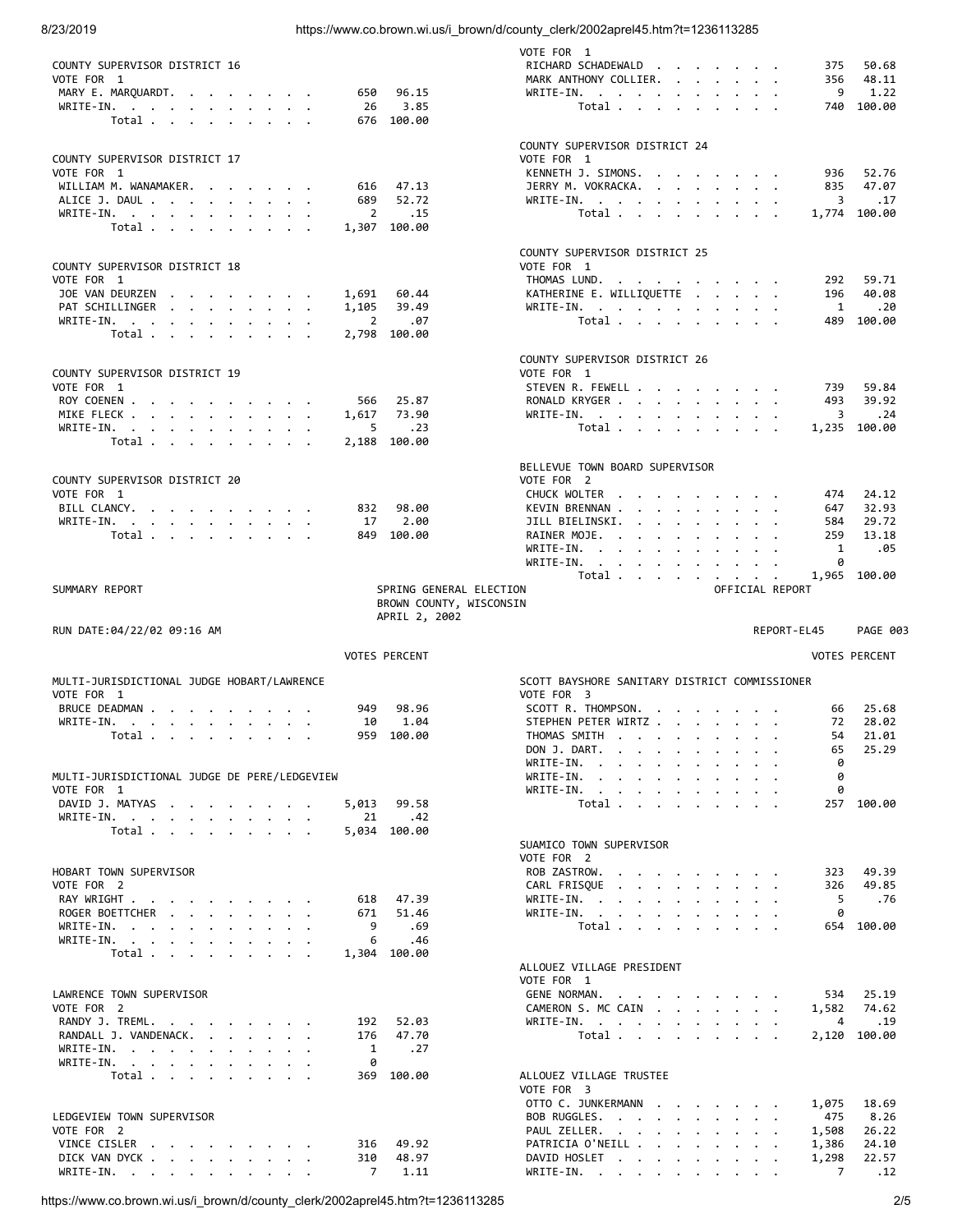8/23/2019 https://www.co.brown.wi.us/i\_brown/d/county\_clerk/2002aprel45.htm?t=1236113285

|                                                                                                             |                      |                         | VOTE FOR 1                                                                                                                                                                                                                                                  |                                                             |                 |             |                      |
|-------------------------------------------------------------------------------------------------------------|----------------------|-------------------------|-------------------------------------------------------------------------------------------------------------------------------------------------------------------------------------------------------------------------------------------------------------|-------------------------------------------------------------|-----------------|-------------|----------------------|
| COUNTY SUPERVISOR DISTRICT 16                                                                               |                      |                         | RICHARD SCHADEWALD                                                                                                                                                                                                                                          |                                                             |                 | 375         | 50.68                |
| VOTE FOR 1                                                                                                  |                      |                         | MARK ANTHONY COLLIER.<br>$\mathbf{r}$ , $\mathbf{r}$ , $\mathbf{r}$                                                                                                                                                                                         |                                                             |                 | 356         | 48.11                |
| MARY E. MARQUARDT.                                                                                          | 650                  | 96.15                   | $WRITE-IN.$                                                                                                                                                                                                                                                 |                                                             |                 | 9           | 1.22                 |
| WRITE-IN.                                                                                                   | 26                   | 3.85                    | Total $\cdots$ $\cdots$                                                                                                                                                                                                                                     |                                                             |                 |             | 740 100.00           |
| Total                                                                                                       | 676                  | 100.00                  |                                                                                                                                                                                                                                                             |                                                             |                 |             |                      |
|                                                                                                             |                      |                         | COUNTY SUPERVISOR DISTRICT 24                                                                                                                                                                                                                               |                                                             |                 |             |                      |
| COUNTY SUPERVISOR DISTRICT 17                                                                               |                      |                         | VOTE FOR 1                                                                                                                                                                                                                                                  |                                                             |                 |             |                      |
| VOTE FOR 1                                                                                                  |                      |                         | KENNETH J. SIMONS.                                                                                                                                                                                                                                          |                                                             |                 | 936         | 52.76                |
| WILLIAM M. WANAMAKER.                                                                                       | 616                  | 47.13                   | JERRY M. VOKRACKA.                                                                                                                                                                                                                                          |                                                             |                 | 835         | 47.07                |
| ALICE J. DAUL                                                                                               | 689                  | 52.72                   | $WRITE-IN.$                                                                                                                                                                                                                                                 |                                                             |                 | 3           | .17                  |
| WRITE-IN.                                                                                                   | 2                    | .15                     | Total $\cdots$ $\cdots$ $\cdots$                                                                                                                                                                                                                            |                                                             |                 |             | 1,774 100.00         |
| Total                                                                                                       |                      | 1,307 100.00            |                                                                                                                                                                                                                                                             |                                                             |                 |             |                      |
|                                                                                                             |                      |                         |                                                                                                                                                                                                                                                             |                                                             |                 |             |                      |
|                                                                                                             |                      |                         | COUNTY SUPERVISOR DISTRICT 25                                                                                                                                                                                                                               |                                                             |                 |             |                      |
| COUNTY SUPERVISOR DISTRICT 18                                                                               |                      |                         | VOTE FOR 1                                                                                                                                                                                                                                                  |                                                             |                 |             |                      |
| VOTE FOR 1                                                                                                  |                      |                         | THOMAS LUND.                                                                                                                                                                                                                                                |                                                             |                 | 292         | 59.71                |
| JOE VAN DEURZEN<br>$\mathbf{a}$ and $\mathbf{a}$ are all $\mathbf{a}$ and $\mathbf{a}$ are all $\mathbf{a}$ | 1,691                | 60.44                   | KATHERINE E. WILLIQUETTE                                                                                                                                                                                                                                    |                                                             |                 | 196         | 40.08                |
| PAT SCHILLINGER                                                                                             | 1,105                | 39.49                   | WRITE-IN.                                                                                                                                                                                                                                                   |                                                             |                 | 1           | .20                  |
| WRITE-IN.                                                                                                   | 2                    | .07                     | Total                                                                                                                                                                                                                                                       |                                                             |                 |             | 489 100.00           |
| Total                                                                                                       |                      | 2,798 100.00            |                                                                                                                                                                                                                                                             |                                                             |                 |             |                      |
|                                                                                                             |                      |                         |                                                                                                                                                                                                                                                             |                                                             |                 |             |                      |
|                                                                                                             |                      |                         | COUNTY SUPERVISOR DISTRICT 26                                                                                                                                                                                                                               |                                                             |                 |             |                      |
| COUNTY SUPERVISOR DISTRICT 19                                                                               |                      |                         | VOTE FOR 1                                                                                                                                                                                                                                                  |                                                             |                 |             |                      |
| VOTE FOR 1                                                                                                  |                      |                         | STEVEN R. FEWELL                                                                                                                                                                                                                                            |                                                             |                 | 739         | 59.84                |
| ROY COENEN                                                                                                  | 566                  | 25.87                   | RONALD KRYGER                                                                                                                                                                                                                                               |                                                             |                 | 493         | 39.92                |
| MIKE FLECK                                                                                                  | 1,617                | 73.90                   | WRITE-IN.                                                                                                                                                                                                                                                   |                                                             |                 | 3           | .24                  |
| WRITE-IN.                                                                                                   | 5                    | .23                     | Total                                                                                                                                                                                                                                                       |                                                             |                 |             | 1,235 100.00         |
| Total                                                                                                       |                      | 2,188 100.00            |                                                                                                                                                                                                                                                             |                                                             |                 |             |                      |
|                                                                                                             |                      |                         |                                                                                                                                                                                                                                                             |                                                             |                 |             |                      |
|                                                                                                             |                      |                         | BELLEVUE TOWN BOARD SUPERVISOR                                                                                                                                                                                                                              |                                                             |                 |             |                      |
| COUNTY SUPERVISOR DISTRICT 20                                                                               |                      |                         | VOTE FOR 2                                                                                                                                                                                                                                                  |                                                             |                 |             |                      |
| VOTE FOR 1                                                                                                  |                      |                         | CHUCK WOLTER                                                                                                                                                                                                                                                |                                                             |                 | 474         | 24.12                |
| BILL CLANCY.                                                                                                | 832                  | 98.00                   | KEVIN BRENNAN                                                                                                                                                                                                                                               | $\bullet$ .<br><br><br><br><br><br><br><br><br><br><br><br> |                 | 647         | 32.93                |
| WRITE-IN.                                                                                                   | 17                   | 2.00                    | JILL BIELINSKI.<br>$\cdots$                                                                                                                                                                                                                                 |                                                             |                 | 584         | 29.72                |
| Total                                                                                                       | 849                  | 100.00                  | RAINER MOJE.                                                                                                                                                                                                                                                |                                                             |                 | 259         | 13.18                |
|                                                                                                             |                      |                         | $WRITE-IN.$                                                                                                                                                                                                                                                 |                                                             |                 | 1           | .05                  |
|                                                                                                             |                      |                         | WRITE-IN.                                                                                                                                                                                                                                                   |                                                             |                 | 0           |                      |
|                                                                                                             |                      |                         | Total                                                                                                                                                                                                                                                       |                                                             |                 |             | 1,965 100.00         |
| SUMMARY REPORT                                                                                              |                      | SPRING GENERAL ELECTION |                                                                                                                                                                                                                                                             |                                                             | OFFICIAL REPORT |             |                      |
|                                                                                                             |                      |                         |                                                                                                                                                                                                                                                             |                                                             |                 |             |                      |
|                                                                                                             |                      | BROWN COUNTY, WISCONSIN |                                                                                                                                                                                                                                                             |                                                             |                 |             |                      |
|                                                                                                             |                      | APRIL 2, 2002           |                                                                                                                                                                                                                                                             |                                                             |                 |             |                      |
| RUN DATE:04/22/02 09:16 AM                                                                                  |                      |                         |                                                                                                                                                                                                                                                             |                                                             |                 | REPORT-EL45 | <b>PAGE 003</b>      |
|                                                                                                             |                      |                         |                                                                                                                                                                                                                                                             |                                                             |                 |             |                      |
|                                                                                                             | <b>VOTES PERCENT</b> |                         |                                                                                                                                                                                                                                                             |                                                             |                 |             | <b>VOTES PERCENT</b> |
|                                                                                                             |                      |                         |                                                                                                                                                                                                                                                             |                                                             |                 |             |                      |
| MULTI-JURISDICTIONAL JUDGE HOBART/LAWRENCE                                                                  |                      |                         | SCOTT BAYSHORE SANITARY DISTRICT COMMISSIONER                                                                                                                                                                                                               |                                                             |                 |             |                      |
| VOTE FOR 1                                                                                                  | 949                  |                         | VOTE FOR 3                                                                                                                                                                                                                                                  |                                                             |                 | 66          |                      |
| BRUCE DEADMAN                                                                                               | 10                   | 98.96                   | SCOTT R. THOMPSON.<br>in the contract of the contract of the contract of the contract of the contract of the contract of the contract of the contract of the contract of the contract of the contract of the contract of the contract of the contrac        |                                                             |                 |             | 25.68                |
| WRITE-IN.                                                                                                   |                      | 1.04                    | STEPHEN PETER WIRTZ                                                                                                                                                                                                                                         |                                                             |                 | 72<br>54    | 28.02                |
| Total $\cdots$ $\cdots$ $\cdots$                                                                            |                      | 959 100.00              | THOMAS SMITH                                                                                                                                                                                                                                                |                                                             |                 |             | 21.01                |
|                                                                                                             |                      |                         | DON J. DART.<br>$\mathbf{r}$ . The set of $\mathbf{r}$                                                                                                                                                                                                      |                                                             |                 | 65<br>0     | 25.29                |
| MULTI-JURISDICTIONAL JUDGE DE PERE/LEDGEVIEW                                                                |                      |                         | WRITE-IN.<br>WRITE-IN.<br>$\mathbf{r}$ . The set of the set of the set of the set of the set of the set of the set of the set of the set of the set of the set of the set of the set of the set of the set of the set of the set of the set of the set of t |                                                             |                 | 0           |                      |
|                                                                                                             |                      |                         | WRITE-IN.                                                                                                                                                                                                                                                   |                                                             |                 |             |                      |
| VOTE FOR 1<br>DAVID J. MATYAS                                                                               | 5,013                | 99.58                   | the contract of the contract of the contract of                                                                                                                                                                                                             |                                                             |                 | 0<br>257    | 100.00               |
| WRITE-IN.                                                                                                   | 21                   | .42                     | Total $\cdots$ $\cdots$ $\cdots$                                                                                                                                                                                                                            |                                                             |                 |             |                      |
| Total                                                                                                       | 5,034 100.00         |                         |                                                                                                                                                                                                                                                             |                                                             |                 |             |                      |
|                                                                                                             |                      |                         | SUAMICO TOWN SUPERVISOR                                                                                                                                                                                                                                     |                                                             |                 |             |                      |
|                                                                                                             |                      |                         | VOTE FOR 2                                                                                                                                                                                                                                                  |                                                             |                 |             |                      |
| HOBART TOWN SUPERVISOR                                                                                      |                      |                         | ROB ZASTROW.<br>the contract of the contract of the contract of                                                                                                                                                                                             |                                                             |                 | 323         | 49.39                |
| VOTE FOR 2                                                                                                  |                      |                         | CARL FRISQUE                                                                                                                                                                                                                                                |                                                             |                 | 326         | 49.85                |
| RAY WRIGHT                                                                                                  | 618                  | 47.39                   | WRITE-IN.                                                                                                                                                                                                                                                   |                                                             |                 | 5           | .76                  |
| ROGER BOETTCHER                                                                                             | 671                  | 51.46                   | WRITE-IN.                                                                                                                                                                                                                                                   |                                                             |                 | 0           |                      |
| WRITE-IN.                                                                                                   | 9                    | .69                     | Total                                                                                                                                                                                                                                                       |                                                             |                 | 654         | 100.00               |
| WRITE-IN.                                                                                                   | 6                    | .46                     |                                                                                                                                                                                                                                                             |                                                             |                 |             |                      |
| Total $\cdots$ $\cdots$ $\cdots$                                                                            | 1,304 100.00         |                         |                                                                                                                                                                                                                                                             |                                                             |                 |             |                      |
|                                                                                                             |                      |                         | ALLOUEZ VILLAGE PRESIDENT                                                                                                                                                                                                                                   |                                                             |                 |             |                      |
|                                                                                                             |                      |                         | VOTE FOR 1                                                                                                                                                                                                                                                  |                                                             |                 |             |                      |
| LAWRENCE TOWN SUPERVISOR                                                                                    |                      |                         | GENE NORMAN.                                                                                                                                                                                                                                                |                                                             |                 | 534         | 25.19                |
| VOTE FOR 2                                                                                                  |                      |                         | CAMERON S. MC CAIN                                                                                                                                                                                                                                          |                                                             |                 | 1,582       | 74.62                |
| RANDY J. TREML.                                                                                             | 192                  | 52.03                   | WRITE-IN.<br>the contract of the contract of the contract of the contract of the contract of the contract of the contract of                                                                                                                                |                                                             |                 | 4           | .19                  |
| RANDALL J. VANDENACK.                                                                                       | 176                  | 47.70                   | Total                                                                                                                                                                                                                                                       |                                                             |                 | 2,120       | 100.00               |
| WRITE-IN.                                                                                                   | $\mathbf{1}$         | .27                     |                                                                                                                                                                                                                                                             |                                                             |                 |             |                      |
| WRITE-IN.                                                                                                   | 0                    |                         |                                                                                                                                                                                                                                                             |                                                             |                 |             |                      |
| Total                                                                                                       |                      | 369 100.00              | ALLOUEZ VILLAGE TRUSTEE                                                                                                                                                                                                                                     |                                                             |                 |             |                      |
|                                                                                                             |                      |                         | VOTE FOR 3                                                                                                                                                                                                                                                  |                                                             |                 |             |                      |
|                                                                                                             |                      |                         | OTTO C. JUNKERMANN                                                                                                                                                                                                                                          |                                                             |                 | 1,075       | 18.69                |
| LEDGEVIEW TOWN SUPERVISOR                                                                                   |                      |                         | BOB RUGGLES.                                                                                                                                                                                                                                                |                                                             |                 | 475         | 8.26                 |
| VOTE FOR 2                                                                                                  |                      |                         | PAUL ZELLER.                                                                                                                                                                                                                                                |                                                             |                 | 1,508       | 26.22                |
| VINCE CISLER                                                                                                | 316                  | 49.92                   | PATRICIA O'NEILL                                                                                                                                                                                                                                            |                                                             |                 | 1,386       | 24.10                |
| DICK VAN DYCK                                                                                               | 310                  | 48.97                   | DAVID HOSLET                                                                                                                                                                                                                                                |                                                             |                 | 1,298       | 22.57                |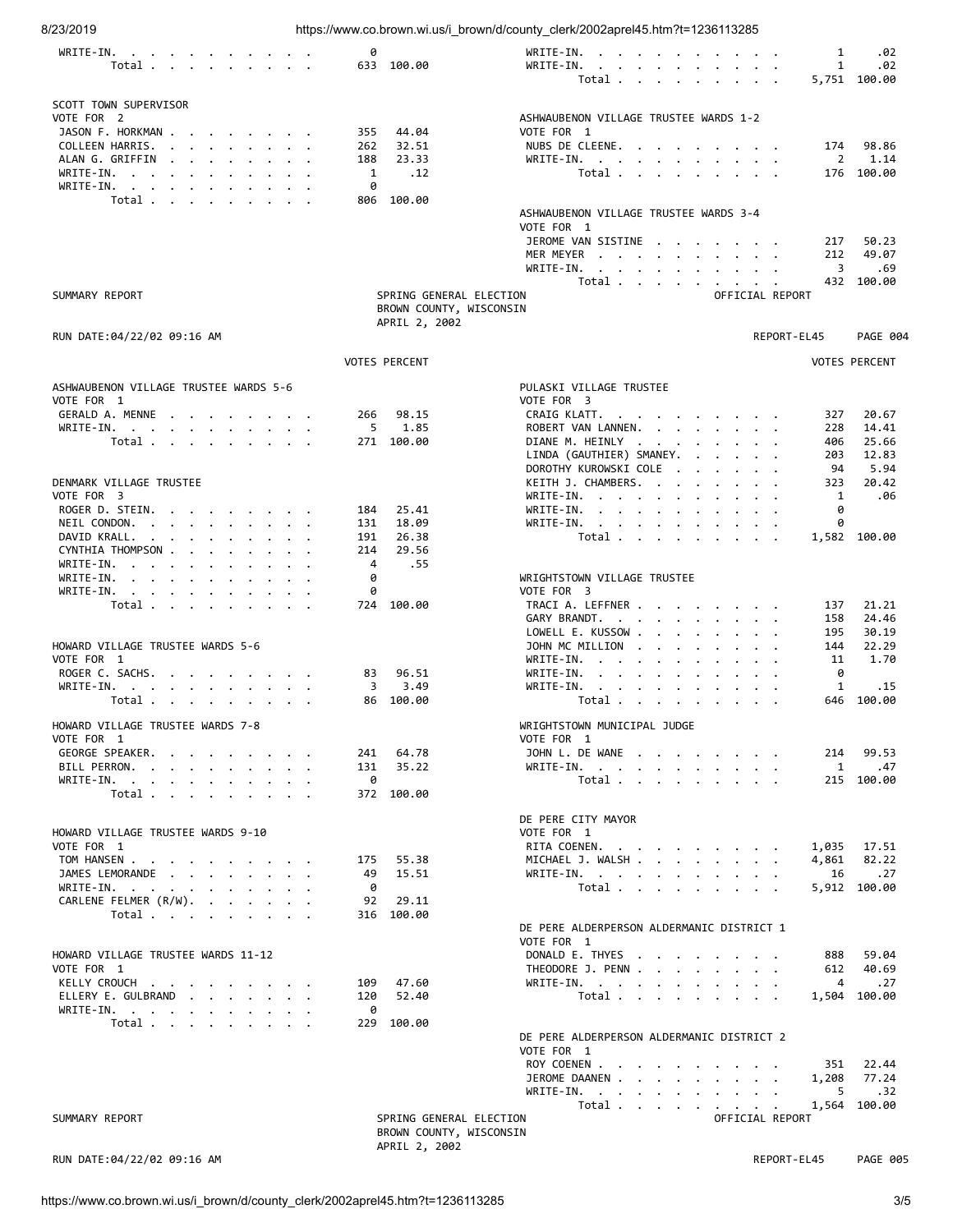| 8/23/2019                                                                                                                                                                                                                                          |                              | https://www.co.brown.wi.us/i_brown/d/county_clerk/2002aprel45.htm?t=1236113285                                                                                                                                                                                                              |
|----------------------------------------------------------------------------------------------------------------------------------------------------------------------------------------------------------------------------------------------------|------------------------------|---------------------------------------------------------------------------------------------------------------------------------------------------------------------------------------------------------------------------------------------------------------------------------------------|
| WRITE-IN.<br>the contract of the contract of the contract of the contract of the contract of the contract of the contract of                                                                                                                       | 0                            | .02<br>WRITE-IN.<br>1                                                                                                                                                                                                                                                                       |
| Total $\cdots$ $\cdots$ $\cdots$                                                                                                                                                                                                                   | 633 100.00                   | WRITE-IN.<br>1<br>.02<br>the contract of the contract of the contract of the contract of the contract of the contract of the contract of                                                                                                                                                    |
|                                                                                                                                                                                                                                                    |                              | 5,751 100.00<br>Total $\cdots$ $\cdots$ $\cdots$                                                                                                                                                                                                                                            |
|                                                                                                                                                                                                                                                    |                              |                                                                                                                                                                                                                                                                                             |
| SCOTT TOWN SUPERVISOR                                                                                                                                                                                                                              |                              |                                                                                                                                                                                                                                                                                             |
| VOTE FOR 2                                                                                                                                                                                                                                         |                              | ASHWAUBENON VILLAGE TRUSTEE WARDS 1-2                                                                                                                                                                                                                                                       |
| JASON F. HORKMAN                                                                                                                                                                                                                                   | 44.04<br>355                 | VOTE FOR 1                                                                                                                                                                                                                                                                                  |
| COLLEEN HARRIS.<br>ALANG.GRIFFIN.                                                                                                                                                                                                                  | 32.51<br>262<br>188<br>23.33 | NUBS DE CLEENE.<br>174<br>98.86<br>WRITE-IN.<br>2<br>1.14<br>and the contract of the contract of the contract of the contract of the contract of the contract of the contract of the contract of the contract of the contract of the contract of the contract of the contract of the contra |
| WRITE-IN.                                                                                                                                                                                                                                          | .12<br>1                     | Total<br>100.00<br>176                                                                                                                                                                                                                                                                      |
| WRITE-IN.                                                                                                                                                                                                                                          | 0                            |                                                                                                                                                                                                                                                                                             |
| Total                                                                                                                                                                                                                                              | 806 100.00                   |                                                                                                                                                                                                                                                                                             |
|                                                                                                                                                                                                                                                    |                              | ASHWAUBENON VILLAGE TRUSTEE WARDS 3-4                                                                                                                                                                                                                                                       |
|                                                                                                                                                                                                                                                    |                              | VOTE FOR 1                                                                                                                                                                                                                                                                                  |
|                                                                                                                                                                                                                                                    |                              | JEROME VAN SISTINE<br>50.23<br>217                                                                                                                                                                                                                                                          |
|                                                                                                                                                                                                                                                    |                              | 212<br>49.07<br>MER MEYER                                                                                                                                                                                                                                                                   |
|                                                                                                                                                                                                                                                    |                              | WRITE-IN.<br>3<br>.69<br>the contract of the contract of the contract of                                                                                                                                                                                                                    |
|                                                                                                                                                                                                                                                    |                              | Total<br>432<br>100.00                                                                                                                                                                                                                                                                      |
| SUMMARY REPORT                                                                                                                                                                                                                                     | SPRING GENERAL ELECTION      | OFFICIAL REPORT                                                                                                                                                                                                                                                                             |
|                                                                                                                                                                                                                                                    | BROWN COUNTY, WISCONSIN      |                                                                                                                                                                                                                                                                                             |
|                                                                                                                                                                                                                                                    | APRIL 2, 2002                |                                                                                                                                                                                                                                                                                             |
| RUN DATE:04/22/02 09:16 AM                                                                                                                                                                                                                         |                              | REPORT-EL45<br><b>PAGE 004</b>                                                                                                                                                                                                                                                              |
|                                                                                                                                                                                                                                                    | <b>VOTES PERCENT</b>         | <b>VOTES PERCENT</b>                                                                                                                                                                                                                                                                        |
|                                                                                                                                                                                                                                                    |                              |                                                                                                                                                                                                                                                                                             |
| ASHWAUBENON VILLAGE TRUSTEE WARDS 5-6                                                                                                                                                                                                              |                              | PULASKI VILLAGE TRUSTEE                                                                                                                                                                                                                                                                     |
| VOTE FOR 1                                                                                                                                                                                                                                         |                              | VOTE FOR 3                                                                                                                                                                                                                                                                                  |
| GERALD A. MENNE                                                                                                                                                                                                                                    | 98.15<br>266                 | CRAIG KLATT.<br>20.67<br>327<br>$\mathbf{r}$ . The set of the set of the set of the set of the set of the set of the set of the set of the set of the set of the set of the set of the set of the set of the set of the set of the set of the set of the set of t                           |
| WRITE-IN.                                                                                                                                                                                                                                          | 5<br>1.85                    | ROBERT VAN LANNEN.<br>228<br>14.41                                                                                                                                                                                                                                                          |
| Total                                                                                                                                                                                                                                              | 271 100.00                   | DIANE M. HEINLY<br>25.66<br>406                                                                                                                                                                                                                                                             |
|                                                                                                                                                                                                                                                    |                              | LINDA (GAUTHIER) SMANEY.<br>12.83<br>203                                                                                                                                                                                                                                                    |
|                                                                                                                                                                                                                                                    |                              | DOROTHY KUROWSKI COLE<br>94<br>5.94<br>$\mathbf{r}$ . The set of the set of the set of the set of the set of the set of the set of the set of the set of the set of the set of the set of the set of the set of the set of the set of the set of the set of the set of t                    |
| DENMARK VILLAGE TRUSTEE                                                                                                                                                                                                                            |                              | 20.42<br>KEITH J. CHAMBERS.<br>323                                                                                                                                                                                                                                                          |
| VOTE FOR 3                                                                                                                                                                                                                                         |                              | 1<br>.06<br>WRITE-IN.                                                                                                                                                                                                                                                                       |
| ROGER D. STEIN.<br>NEIL CONDON.                                                                                                                                                                                                                    | 25.41<br>184<br>18.09        | 0<br>$WRITE-IN.$<br>WRITE-IN.<br>0                                                                                                                                                                                                                                                          |
| the contract of the contract of the contract of the contract of the contract of the contract of the contract of<br>DAVID KRALL.<br>the contract of the contract of the contract of the contract of the contract of the contract of the contract of | 131<br>191<br>26.38          | the contract of the contract of the contract of the contract of the contract of the contract of the contract of<br>1,582 100.00<br>Total                                                                                                                                                    |
| CYNTHIA THOMPSON                                                                                                                                                                                                                                   | 29.56<br>214                 |                                                                                                                                                                                                                                                                                             |
| WRITE-IN.                                                                                                                                                                                                                                          | 4<br>.55                     |                                                                                                                                                                                                                                                                                             |
| WRITE-IN.                                                                                                                                                                                                                                          | 0                            | WRIGHTSTOWN VILLAGE TRUSTEE                                                                                                                                                                                                                                                                 |
| WRITE-IN.                                                                                                                                                                                                                                          | 0                            | VOTE FOR 3                                                                                                                                                                                                                                                                                  |
| Total                                                                                                                                                                                                                                              | 100.00<br>724                | TRACI A. LEFFNER<br>21.21<br>137                                                                                                                                                                                                                                                            |
|                                                                                                                                                                                                                                                    |                              | 24.46<br>GARY BRANDT.<br>158                                                                                                                                                                                                                                                                |
|                                                                                                                                                                                                                                                    |                              | 30.19<br>LOWELL E. KUSSOW<br>195                                                                                                                                                                                                                                                            |
| HOWARD VILLAGE TRUSTEE WARDS 5-6                                                                                                                                                                                                                   |                              | JOHN MC MILLION<br>22.29<br>144<br>$\mathbf{a}$ and $\mathbf{a}$ and $\mathbf{a}$ and $\mathbf{a}$ and $\mathbf{a}$                                                                                                                                                                         |
| VOTE FOR 1                                                                                                                                                                                                                                         |                              | 11<br>1.70<br>$WRITE-IN.$<br>$\bullet$                                                                                                                                                                                                                                                      |
| ROGER C. SACHS.                                                                                                                                                                                                                                    | 96.51<br>83                  | WRITE-IN.<br>0<br>the contract of the contract of the                                                                                                                                                                                                                                       |
| WRITE-IN.                                                                                                                                                                                                                                          | 3<br>3.49                    | WRITE-IN.<br>1<br>.15<br>and the contract of the contract of the contract of the contract of the contract of the contract of the contract of the contract of the contract of the contract of the contract of the contract of the contract of the contra                                     |
| Total                                                                                                                                                                                                                                              | 86 100.00                    | Total $\cdots$ $\cdots$ $\cdots$<br>100.00<br>646                                                                                                                                                                                                                                           |
|                                                                                                                                                                                                                                                    |                              |                                                                                                                                                                                                                                                                                             |
| HOWARD VILLAGE TRUSTEE WARDS 7-8<br>VOTE FOR 1                                                                                                                                                                                                     |                              | WRIGHTSTOWN MUNICIPAL JUDGE<br>VOTE FOR 1                                                                                                                                                                                                                                                   |
| GEORGE SPEAKER.                                                                                                                                                                                                                                    | 241<br>64.78                 | JOHN L. DE WANE<br>99.53<br>214                                                                                                                                                                                                                                                             |
| BILL PERRON.<br>and the contract of the contract of the contract of the contract of the contract of the contract of the contract of the contract of the contract of the contract of the contract of the contract of the contract of the contra     | 131<br>35.22                 | $\mathbf{1}$<br>WRITE-IN.<br>.47                                                                                                                                                                                                                                                            |
| WRITE-IN.                                                                                                                                                                                                                                          | 0                            | Total<br>215 100.00                                                                                                                                                                                                                                                                         |
| Total                                                                                                                                                                                                                                              | 372 100.00                   |                                                                                                                                                                                                                                                                                             |
|                                                                                                                                                                                                                                                    |                              |                                                                                                                                                                                                                                                                                             |
|                                                                                                                                                                                                                                                    |                              | DE PERE CITY MAYOR                                                                                                                                                                                                                                                                          |
| HOWARD VILLAGE TRUSTEE WARDS 9-10                                                                                                                                                                                                                  |                              | VOTE FOR 1                                                                                                                                                                                                                                                                                  |
| VOTE FOR 1                                                                                                                                                                                                                                         |                              | RITA COENEN.<br>1,035<br>17.51                                                                                                                                                                                                                                                              |
| TOM HANSEN                                                                                                                                                                                                                                         | 175<br>55.38                 | 82.22<br>MICHAEL J. WALSH<br>4,861                                                                                                                                                                                                                                                          |
| JAMES LEMORANDE                                                                                                                                                                                                                                    | 49<br>15.51                  | .27<br>WRITE-IN. $\cdot$ , $\cdot$ , $\cdot$ , $\cdot$ , $\cdot$ , $\cdot$<br>16                                                                                                                                                                                                            |
| WRITE-IN.                                                                                                                                                                                                                                          | 0<br>92<br>29.11             | Total<br>5,912 100.00                                                                                                                                                                                                                                                                       |
| CARLENE FELMER (R/W).                                                                                                                                                                                                                              | 316 100.00                   |                                                                                                                                                                                                                                                                                             |
| Total                                                                                                                                                                                                                                              |                              | DE PERE ALDERPERSON ALDERMANIC DISTRICT 1                                                                                                                                                                                                                                                   |
|                                                                                                                                                                                                                                                    |                              | VOTE FOR 1                                                                                                                                                                                                                                                                                  |
| HOWARD VILLAGE TRUSTEE WARDS 11-12                                                                                                                                                                                                                 |                              | DONALD E. THYES<br>59.04<br>888                                                                                                                                                                                                                                                             |
| VOTE FOR 1                                                                                                                                                                                                                                         |                              | THEODORE J. PENN<br>612<br>40.69                                                                                                                                                                                                                                                            |
| KELLY CROUCH                                                                                                                                                                                                                                       | 109<br>47.60                 | WRITE-IN.<br>4<br>.27                                                                                                                                                                                                                                                                       |
| ELLERY E. GULBRAND                                                                                                                                                                                                                                 | 52.40<br>120                 | Total<br>1,504 100.00                                                                                                                                                                                                                                                                       |
| WRITE-IN.                                                                                                                                                                                                                                          | 0                            |                                                                                                                                                                                                                                                                                             |
| Total                                                                                                                                                                                                                                              | 229<br>100.00                |                                                                                                                                                                                                                                                                                             |
|                                                                                                                                                                                                                                                    |                              | DE PERE ALDERPERSON ALDERMANIC DISTRICT 2                                                                                                                                                                                                                                                   |
|                                                                                                                                                                                                                                                    |                              | VOTE FOR 1                                                                                                                                                                                                                                                                                  |
|                                                                                                                                                                                                                                                    |                              | ROY COENEN<br>22.44<br>351                                                                                                                                                                                                                                                                  |
|                                                                                                                                                                                                                                                    |                              | JEROME DAANEN<br>77.24<br>1,208                                                                                                                                                                                                                                                             |
|                                                                                                                                                                                                                                                    |                              | WRITE-IN.<br>5<br>.32<br>the contract of the contract of the contract of                                                                                                                                                                                                                    |
|                                                                                                                                                                                                                                                    |                              | Total<br>1,564 100.00                                                                                                                                                                                                                                                                       |
| SUMMARY REPORT                                                                                                                                                                                                                                     | SPRING GENERAL ELECTION      | OFFICIAL REPORT                                                                                                                                                                                                                                                                             |
|                                                                                                                                                                                                                                                    | BROWN COUNTY, WISCONSIN      |                                                                                                                                                                                                                                                                                             |
|                                                                                                                                                                                                                                                    | APRIL 2, 2002                |                                                                                                                                                                                                                                                                                             |

RUN DATE:04/22/02 09:16 AM REPORT-EL45 PAGE 005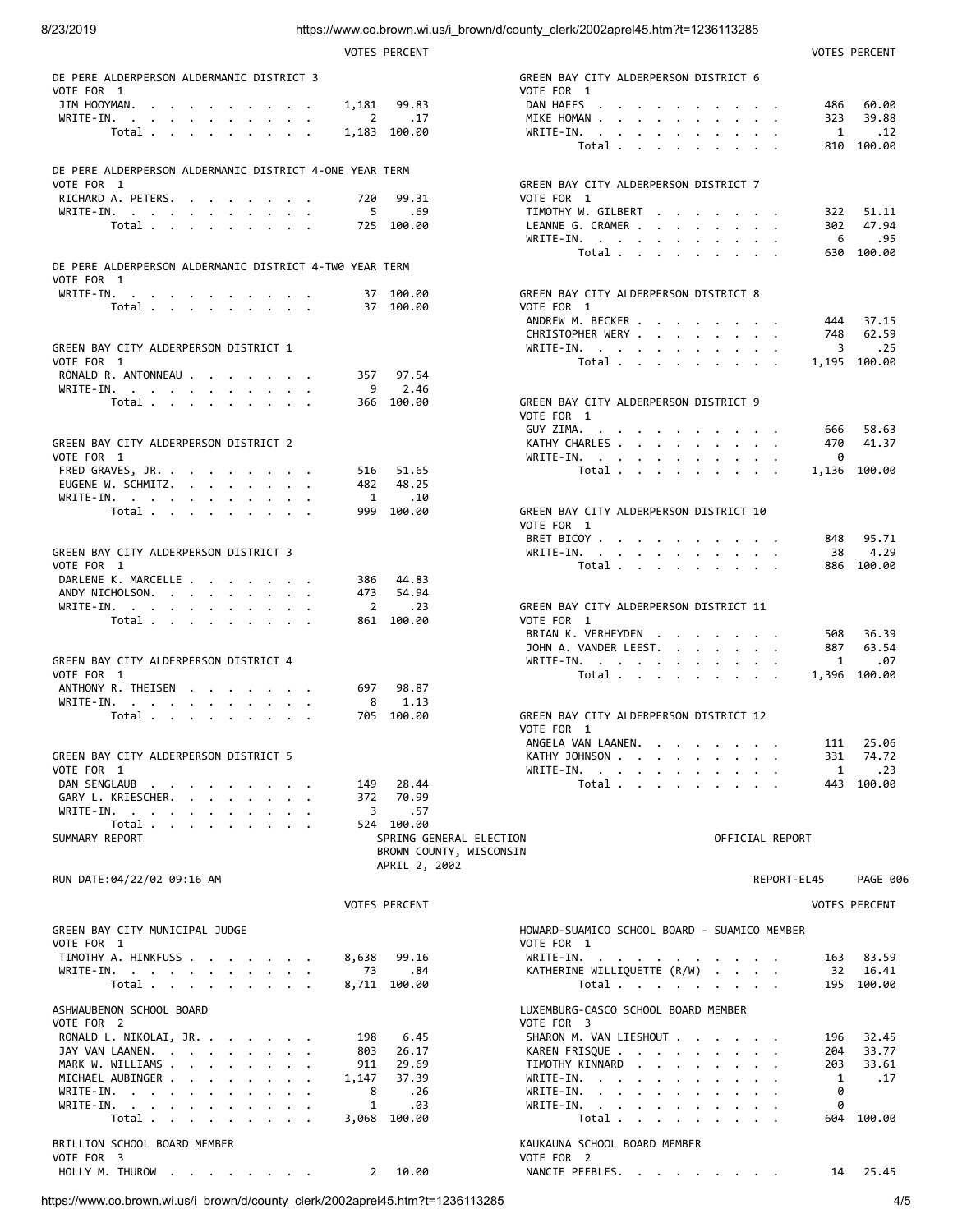## 8/23/2019 https://www.co.brown.wi.us/i\_brown/d/county\_clerk/2002aprel45.htm?t=1236113285

|                                                                                                         | <b>VOTES PERCENT</b>    |                                                                                                                                                                                                                                                    |                 |        | <b>VOTES PERCENT</b> |
|---------------------------------------------------------------------------------------------------------|-------------------------|----------------------------------------------------------------------------------------------------------------------------------------------------------------------------------------------------------------------------------------------------|-----------------|--------|----------------------|
| DE PERE ALDERPERSON ALDERMANIC DISTRICT 3                                                               |                         | GREEN BAY CITY ALDERPERSON DISTRICT 6                                                                                                                                                                                                              |                 |        |                      |
| VOTE FOR 1                                                                                              |                         | VOTE FOR 1                                                                                                                                                                                                                                         |                 |        |                      |
| JIM HOOYMAN.<br>1,181                                                                                   | 99.83                   | DAN HAEFS                                                                                                                                                                                                                                          |                 | 486    | 60.00                |
| $2^{\circ}$<br>WRITE-IN.                                                                                | $\ldots$ 17             | MIKE HOMAN                                                                                                                                                                                                                                         |                 | 323    | 39.88                |
| Total                                                                                                   | 1,183 100.00            | WRITE-IN.                                                                                                                                                                                                                                          |                 | 1      | .12                  |
|                                                                                                         |                         | Total                                                                                                                                                                                                                                              |                 |        | 810 100.00           |
|                                                                                                         |                         |                                                                                                                                                                                                                                                    |                 |        |                      |
| DE PERE ALDERPERSON ALDERMANIC DISTRICT 4-ONE YEAR TERM<br>VOTE FOR 1                                   |                         | GREEN BAY CITY ALDERPERSON DISTRICT 7                                                                                                                                                                                                              |                 |        |                      |
| RICHARD A. PETERS.<br>720                                                                               | 99.31                   | VOTE FOR 1                                                                                                                                                                                                                                         |                 |        |                      |
| $5^{\circ}$<br>WRITE-IN.                                                                                | .69                     | TIMOTHY W. GILBERT                                                                                                                                                                                                                                 |                 |        | 322 51.11            |
| Total                                                                                                   | 725 100.00              | LEANNE G. CRAMER                                                                                                                                                                                                                                   |                 | 302    | 47.94                |
|                                                                                                         |                         | WRITE-IN.                                                                                                                                                                                                                                          |                 | 6      | .95                  |
|                                                                                                         |                         | Total $\cdots$ $\cdots$ $\cdots$                                                                                                                                                                                                                   |                 |        | 630 100.00           |
| DE PERE ALDERPERSON ALDERMANIC DISTRICT 4-TW0 YEAR TERM                                                 |                         |                                                                                                                                                                                                                                                    |                 |        |                      |
| VOTE FOR 1                                                                                              |                         |                                                                                                                                                                                                                                                    |                 |        |                      |
| WRITE-IN.                                                                                               | 37 100.00               | GREEN BAY CITY ALDERPERSON DISTRICT 8                                                                                                                                                                                                              |                 |        |                      |
| Total $\cdots$ $\cdots$ $\cdots$                                                                        | 37 100.00               | VOTE FOR 1                                                                                                                                                                                                                                         |                 |        |                      |
|                                                                                                         |                         | ANDREW M. BECKER                                                                                                                                                                                                                                   |                 | 444    | 37.15                |
| GREEN BAY CITY ALDERPERSON DISTRICT 1                                                                   |                         | CHRISTOPHER WERY<br>WRITE-IN.                                                                                                                                                                                                                      |                 | 3      | 748 62.59<br>.25     |
| VOTE FOR 1                                                                                              |                         | Total $\cdots$ $\cdots$ $\cdots$                                                                                                                                                                                                                   |                 |        | 1,195 100.00         |
| RONALD R. ANTONNEAU                                                                                     | 357 97.54               |                                                                                                                                                                                                                                                    |                 |        |                      |
| WRITE-IN.<br>9                                                                                          | 2.46                    |                                                                                                                                                                                                                                                    |                 |        |                      |
| Total $\cdots$ $\cdots$ $\cdots$                                                                        | 366 100.00              | GREEN BAY CITY ALDERPERSON DISTRICT 9                                                                                                                                                                                                              |                 |        |                      |
|                                                                                                         |                         | VOTE FOR 1                                                                                                                                                                                                                                         |                 |        |                      |
|                                                                                                         |                         | GUY ZIMA.                                                                                                                                                                                                                                          |                 | 666    | 58.63                |
| GREEN BAY CITY ALDERPERSON DISTRICT 2                                                                   |                         | KATHY CHARLES                                                                                                                                                                                                                                      |                 | 470    | 41.37                |
| VOTE FOR 1                                                                                              |                         | WRITE-IN.                                                                                                                                                                                                                                          |                 | 0      |                      |
| FRED GRAVES, JR.<br>516                                                                                 | 51.65                   | Total                                                                                                                                                                                                                                              |                 |        | 1,136 100.00         |
| EUGENE W. SCHMITZ.                                                                                      | 482 48.25               |                                                                                                                                                                                                                                                    |                 |        |                      |
| WRITE-IN.<br>$\mathbf{1}$                                                                               | .10                     |                                                                                                                                                                                                                                                    |                 |        |                      |
| Total $\cdots$ $\cdots$ $\cdots$                                                                        | 999 100.00              | GREEN BAY CITY ALDERPERSON DISTRICT 10                                                                                                                                                                                                             |                 |        |                      |
|                                                                                                         |                         | VOTE FOR 1                                                                                                                                                                                                                                         |                 |        | 848 95.71            |
| GREEN BAY CITY ALDERPERSON DISTRICT 3                                                                   |                         | BRET BICOY<br>WRITE-IN.                                                                                                                                                                                                                            |                 | 38     | 4.29                 |
| VOTE FOR 1                                                                                              |                         | Total $\cdots$ $\cdots$ $\cdots$                                                                                                                                                                                                                   |                 |        | 886 100.00           |
| DARLENE K. MARCELLE<br>386                                                                              | 44.83                   |                                                                                                                                                                                                                                                    |                 |        |                      |
| ANDY NICHOLSON.<br>473                                                                                  | 54.94                   |                                                                                                                                                                                                                                                    |                 |        |                      |
| WRITE-IN.<br>$\overline{2}$                                                                             | .23                     | GREEN BAY CITY ALDERPERSON DISTRICT 11                                                                                                                                                                                                             |                 |        |                      |
|                                                                                                         |                         |                                                                                                                                                                                                                                                    |                 |        |                      |
|                                                                                                         | 861 100.00              | VOTE FOR 1                                                                                                                                                                                                                                         |                 |        |                      |
| $\label{eq:total} \text{Total} \quad . \quad . \quad . \quad . \quad . \quad . \quad . \quad . \quad .$ |                         | BRIAN K. VERHEYDEN                                                                                                                                                                                                                                 |                 |        | 508 36.39            |
|                                                                                                         |                         | JOHN A. VANDER LEEST.                                                                                                                                                                                                                              |                 | 887    | 63.54                |
| GREEN BAY CITY ALDERPERSON DISTRICT 4                                                                   |                         | WRITE-IN.                                                                                                                                                                                                                                          |                 | 1      | .07                  |
| VOTE FOR 1                                                                                              |                         | Total                                                                                                                                                                                                                                              |                 |        | 1,396 100.00         |
| ANTHONY R. THEISEN<br>697                                                                               | 98.87                   |                                                                                                                                                                                                                                                    |                 |        |                      |
| WRITE-IN.<br>8                                                                                          | 1.13                    |                                                                                                                                                                                                                                                    |                 |        |                      |
| Total                                                                                                   | 705 100.00              | GREEN BAY CITY ALDERPERSON DISTRICT 12                                                                                                                                                                                                             |                 |        |                      |
|                                                                                                         |                         | VOTE FOR 1                                                                                                                                                                                                                                         |                 |        |                      |
|                                                                                                         |                         | ANGELA VAN LAANEN.                                                                                                                                                                                                                                 |                 |        | 111 25.06            |
| GREEN BAY CITY ALDERPERSON DISTRICT 5                                                                   |                         | KATHY JOHNSON                                                                                                                                                                                                                                      |                 | 331    | 74.72                |
| VOTE FOR 1                                                                                              |                         | WRITE-IN.<br>$\mathbf{a}$ and $\mathbf{a}$ are a set of the set of the set of the set of the set of the set of the set of the set of the set of the set of the set of the set of the set of the set of the set of the set of the set of the set of |                 | 1      | .23                  |
| DAN SENGLAUB<br>149<br>the contract of the contract of the<br>GARY L. KRIESCHER.<br>372                 | 28.44<br>70.99          | Total                                                                                                                                                                                                                                              |                 |        | 443 100.00           |
| 3                                                                                                       | .57                     |                                                                                                                                                                                                                                                    |                 |        |                      |
| WRITE-IN.<br>Total                                                                                      | 524 100.00              |                                                                                                                                                                                                                                                    |                 |        |                      |
| SUMMARY REPORT                                                                                          | SPRING GENERAL ELECTION |                                                                                                                                                                                                                                                    | OFFICIAL REPORT |        |                      |
|                                                                                                         | BROWN COUNTY, WISCONSIN |                                                                                                                                                                                                                                                    |                 |        |                      |
|                                                                                                         | APRIL 2, 2002           |                                                                                                                                                                                                                                                    |                 |        |                      |
| RUN DATE:04/22/02 09:16 AM                                                                              |                         |                                                                                                                                                                                                                                                    | REPORT-EL45     |        | <b>PAGE 006</b>      |
|                                                                                                         |                         |                                                                                                                                                                                                                                                    |                 |        |                      |
|                                                                                                         | <b>VOTES PERCENT</b>    |                                                                                                                                                                                                                                                    |                 |        | <b>VOTES PERCENT</b> |
| GREEN BAY CITY MUNICIPAL JUDGE                                                                          |                         | HOWARD-SUAMICO SCHOOL BOARD - SUAMICO MEMBER                                                                                                                                                                                                       |                 |        |                      |
| VOTE FOR 1                                                                                              |                         | VOTE FOR 1                                                                                                                                                                                                                                         |                 |        |                      |
| TIMOTHY A. HINKFUSS<br>8,638                                                                            | 99.16                   | WRITE-IN.                                                                                                                                                                                                                                          |                 | 163    | 83.59                |
| WRITE-IN.<br>73                                                                                         | .84                     | KATHERINE WILLIQUETTE (R/W)                                                                                                                                                                                                                        |                 | 32     | 16.41                |
| Total                                                                                                   | 8,711 100.00            | Total $\cdots$ $\cdots$ $\cdots$                                                                                                                                                                                                                   |                 |        | 195 100.00           |
|                                                                                                         |                         |                                                                                                                                                                                                                                                    |                 |        |                      |
| ASHWAUBENON SCHOOL BOARD                                                                                |                         | LUXEMBURG-CASCO SCHOOL BOARD MEMBER                                                                                                                                                                                                                |                 |        |                      |
| VOTE FOR 2                                                                                              |                         | VOTE FOR 3                                                                                                                                                                                                                                         |                 |        |                      |
| RONALD L. NIKOLAI, JR.<br>198                                                                           | 6.45                    | SHARON M. VAN LIESHOUT                                                                                                                                                                                                                             |                 | 196    | 32.45                |
| JAY VAN LAANEN.<br>803                                                                                  | 26.17                   | KAREN FRISQUE                                                                                                                                                                                                                                      |                 | 204    | 33.77                |
| MARK W. WILLIAMS<br>911                                                                                 | 29.69                   | TIMOTHY KINNARD                                                                                                                                                                                                                                    |                 | 203    | 33.61                |
| MICHAEL AUBINGER<br>1,147<br>8                                                                          | 37.39<br>.26            | WRITE-IN.                                                                                                                                                                                                                                          |                 | 1<br>0 | .17                  |
| WRITE-IN.<br>WRITE-IN, , , , , , , , , , ,<br>1                                                         | .03                     | WRITE-IN.<br>WRITE-IN.                                                                                                                                                                                                                             |                 | 0      |                      |
| Total                                                                                                   | 3,068 100.00            | Total                                                                                                                                                                                                                                              |                 | 604    | 100.00               |
|                                                                                                         |                         |                                                                                                                                                                                                                                                    |                 |        |                      |
| BRILLION SCHOOL BOARD MEMBER                                                                            |                         | KAUKAUNA SCHOOL BOARD MEMBER                                                                                                                                                                                                                       |                 |        |                      |
| VOTE FOR 3<br>HOLLY M. THUROW<br>$2^{\circ}$                                                            | 10.00                   | VOTE FOR 2<br>NANCIE PEEBLES.                                                                                                                                                                                                                      |                 | 14     | 25.45                |